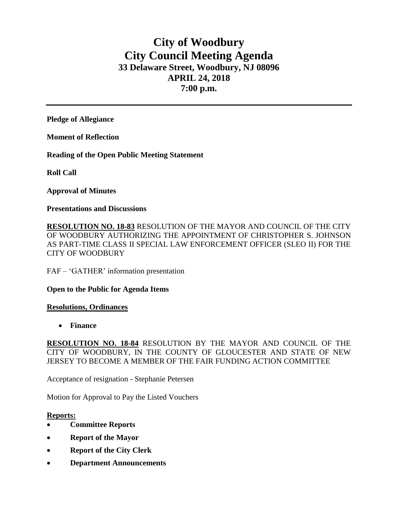# **City of Woodbury City Council Meeting Agenda 33 Delaware Street, Woodbury, NJ 08096 APRIL 24, 2018 7:00 p.m.**

**Pledge of Allegiance**

**Moment of Reflection**

**Reading of the Open Public Meeting Statement**

**Roll Call**

**Approval of Minutes**

**Presentations and Discussions**

**RESOLUTION NO. 18-83** RESOLUTION OF THE MAYOR AND COUNCIL OF THE CITY OF WOODBURY AUTHORIZING THE APPOINTMENT OF CHRISTOPHER S. JOHNSON AS PART-TIME CLASS II SPECIAL LAW ENFORCEMENT OFFICER (SLEO II) FOR THE CITY OF WOODBURY

FAF – 'GATHER' information presentation

### **Open to the Public for Agenda Items**

### **Resolutions, Ordinances**

**Finance** 

**RESOLUTION NO. 18-84** RESOLUTION BY THE MAYOR AND COUNCIL OF THE CITY OF WOODBURY, IN THE COUNTY OF GLOUCESTER AND STATE OF NEW JERSEY TO BECOME A MEMBER OF THE FAIR FUNDING ACTION COMMITTEE

Acceptance of resignation - Stephanie Petersen

Motion for Approval to Pay the Listed Vouchers

### **Reports:**

- **Committee Reports**
- **Report of the Mayor**
- **Report of the City Clerk**
- **Department Announcements**